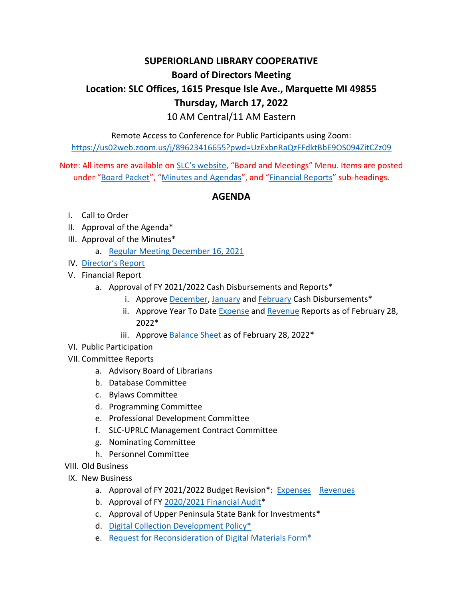## **SUPERIORLAND LIBRARY COOPERATIVE Board of Directors Meeting Location: SLC Offices, 1615 Presque Isle Ave., Marquette MI 49855 Thursday, March 17, 2022** 10 AM Central/11 AM Eastern

Remote Access to Conference for Public Participants using Zoom: <https://us02web.zoom.us/j/89623416655?pwd=UzExbnRaQzFFdktBbE9OS094ZitCZz09>

Note: All items are available on [SLC's w](https://superiorlandlibrary.org/)ebsite, "Board and Meetings" Menu. Items are posted under "[Board Packet](https://superiorlandlibrary.org/board-packet/)", "[Minutes and Agendas](https://superiorlandlibrary.org/minutes-agendas/)", and "[Financial Reports](https://superiorlandlibrary.org/financial-budget-information/)" sub-headings.

## **AGENDA**

- I. Call to Order
- II. Approval of the Agenda\*
- III. Approval of the Minutes\*
	- a. [Regular Meeting December 16, 2021](https://superiorlandlibrary.org/wp-content/uploads/2022/01/SLC_Bd_Minutes_12_16_21.pdf)
- IV. [Director's Report](https://superiorlandlibrary.org/wp-content/uploads/2022/03/Directors_Report_031722.pdf)
- V. Financial Report
	- a. Approval of FY 2021/2022 Cash Disbursements and Reports\*
		- i. Approve [December,](https://superiorlandlibrary.org/wp-content/uploads/2022/01/slcbills2022Dec.pdf) [January](https://superiorlandlibrary.org/wp-content/uploads/2022/02/slcbills2022Jan.pdf) an[d February](https://superiorlandlibrary.org/wp-content/uploads/2022/03/slcbills2022Feb.pdf) Cash Disbursements\*
		- ii. Approve Year To Date [Expense](https://superiorlandlibrary.org/wp-content/uploads/2022/03/slcexp2022-.pdf) and [Revenue](https://superiorlandlibrary.org/wp-content/uploads/2022/03/slcrev2022.pdf) Reports as of February 28, 2022\*
		- iii. Approve  $Balance Sheet$  as of February 28, 2022 $*$
- VI. Public Participation
- VII. Committee Reports
	- a. Advisory Board of Librarians
	- b. Database Committee
	- c. Bylaws Committee
	- d. Programming Committee
	- e. Professional Development Committee
	- f. SLC-UPRLC Management Contract Committee
	- g. Nominating Committee
	- h. Personnel Committee
- VIII. Old Business
- IX. New Business
	- a. Approval of FY 2021/2022 Budget Revision\*: [Expenses](https://superiorlandlibrary.org/wp-content/uploads/2022/03/SLC_FY2022_Budget_Expenses_031722.pdf) [Revenues](https://superiorlandlibrary.org/wp-content/uploads/2022/03/SLC_FY2022_Budget_Revenues_031722-1.pdf)
	- b. Approval of FY [2020/2021 Financial Audit\\*](https://superiorlandlibrary.org/wp-content/uploads/2022/03/SLC_FY2021_Audit.pdf)
	- c. Approval of Upper Peninsula State Bank for Investments\*
	- d. [Digital Collection Development Policy\\*](https://superiorlandlibrary.org/wp-content/uploads/2022/03/SLC-Collection-Development-Policy-Draft.pdf)
	- e. [Request for Reconsideration of Digital Materials Form\\*](https://superiorlandlibrary.org/wp-content/uploads/2022/03/SLC-Challenged-Materials-Form-Policy.pdf)